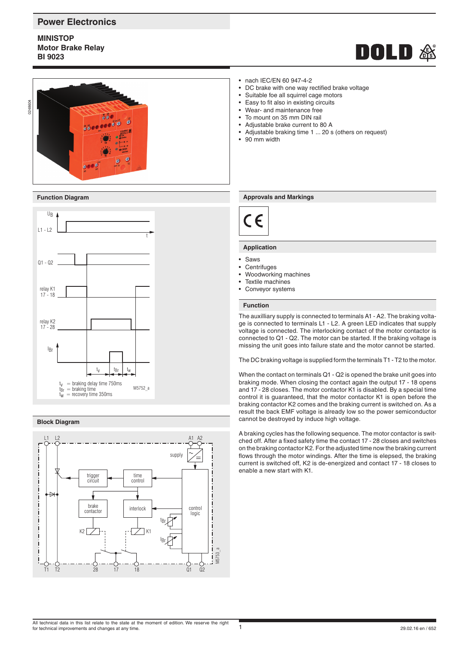# **Power Electronics**

**MINISTOP Motor Brake Relay BI 9023**





### **Function Diagram**



### **Block Diagram**



- nach IEC/EN 60 947-4-2
- DC brake with one way rectified brake voltage
- Suitable foe all squirrel cage motors
- Easy to fit also in existing circuits
- Wear- and maintenance free
- To mount on 35 mm DIN rail
- Adjustable brake current to 80 A
- Adjustable braking time 1 ... 20 s (others on request)
- 90 mm width

### **Approvals and Markings**



### **Application**

- Saws
- Centrifuges
- Woodworking machines
- Textile machines
- Conveyor systems

# **Function**

The auxilliary supply is connected to terminals A1 - A2. The braking voltage is connected to terminals L1 - L2. A green LED indicates that supply voltage is connected. The interlocking contact of the motor contactor is connected to Q1 - Q2. The motor can be started. If the braking voltage is missing the unit goes into failure state and the motor cannot be started.

The DC braking voltage is supplied form the terminals T1 - T2 to the motor.

When the contact on terminals Q1 - Q2 is opened the brake unit goes into braking mode. When closing the contact again the output 17 - 18 opens and 17 - 28 closes. The motor contactor K1 is disabled. By a special time control it is guaranteed, that the motor contactor K1 is open before the braking contactor K2 comes and the braking current is switched on. As a result the back EMF voltage is already low so the power semiconductor cannot be destroyed by induce high voltage.

A braking cycles has the following sequence. The motor contactor is switched off. After a fixed safety time the contact 17 - 28 closes and switches on the braking contactor K2. For the adjusted time now the braking current flows through the motor windings. After the time is elepsed, the braking current is switched off, K2 is de-energized and contact 17 - 18 closes to enable a new start with K1.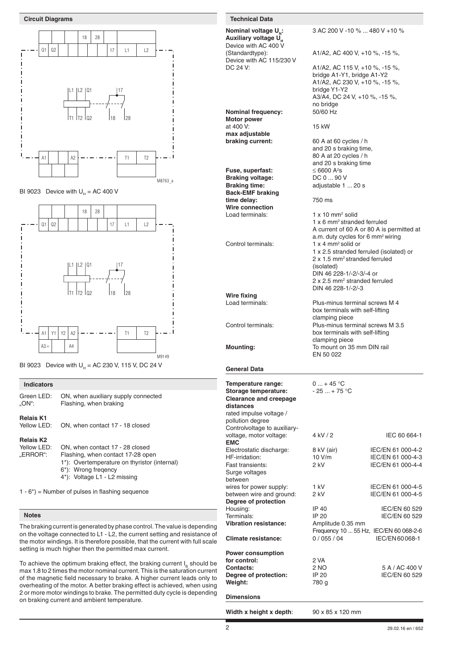

BI 9023 Device with  $U_H = AC 400 V$ 





### **Indicators**

| Green LED:                      | ON, when auxiliary supply connected |  |
|---------------------------------|-------------------------------------|--|
| "ON":                           | Flashing, when braking              |  |
| <b>Relais K1</b><br>Yellow LED: | ON, when contact 17 - 18 closed     |  |

### **Relais K2**

| Yellow LED: | ON, when contact 17 - 28 closed              |  |  |  |
|-------------|----------------------------------------------|--|--|--|
| "ERROR":    | Flashing, when contact 17-28 open            |  |  |  |
|             | 1*): Overtemperature on thyristor (internal) |  |  |  |
|             | 6*): Wrong fregency                          |  |  |  |
|             | 4*): Voltage L1 - L2 missing                 |  |  |  |
|             |                                              |  |  |  |
|             |                                              |  |  |  |

 $1 - 6$ <sup>\*</sup>) = Number of pulses in flashing sequence

### **Notes**

The braking current is generated by phase control. The value is depending on the voltage connected to L1 - L2, the current setting and resistance of the motor windings. It is therefore possible, that the current with full scale setting is much higher then the permitted max current.

To achieve the optimum braking effect, the braking current  $I<sub>e</sub>$  should be max 1.8 to 2 times the motor nominal current. This is the saturation current of the magnetic field necessary to brake. A higher current leads only to overheating of the motor. A better braking effect is achieved, when using 2 or more motor windings to brake. The permitted duty cycle is depending on braking current and ambient temperature.

**Nominal voltage U<sub>N</sub>:** 3 AC 200 V -10 % ... 480 V +10 % **Auxiliary voltage U** Device with AC 400 V<br>(Standardtype): A1/A2, AC 400 V, +10 %, -15 %, Device with AC 115/230 V DC 24 V: A1/A2, AC 115 V, +10 %, -15 %, bridge A1-Y1, bridge A1-Y2 A1/A2, AC 230 V, +10 %, -15 %, bridge Y1-Y2 A3/A4, DC 24 V, +10 %, -15 %, no bridge **Nominal frequency:** 50/60 Hz **Motor power** at 400 V: 15 kW **max adjustable braking current:** 60 A at 60 cycles / h and 20 s braking time, 80 A at 20 cycles / h and 20 s braking time Fuse, superfast:  $<$  6600  $A^2s$ Braking voltage: DC 0 ... 90 V **Braking time:** adjustable 1 ... 20 s **Back-EMF braking**  time delay:  $\frac{1}{250}$  ms **Wire connection** Load terminals:  $1 x 10 mm<sup>2</sup>$  solid 1 x 6 mm2 stranded ferruled A current of 60 A or 80 A is permitted at a.m. duty cycles for 6 mm2 wiring Control terminals: 1 x 4 mm<sup>2</sup> solid or 1 x 2.5 stranded ferruled (isolated) or 2 x 1.5 mm<sup>2</sup> stranded ferruled (isolated) DIN 46 228-1/-2/-3/-4 or 2 x 2.5 mm<sup>2</sup> stranded ferruled DIN 46 228-1/-2/-3 **Wire fixing** Load terminals: Plus-minus terminal screws M 4 box terminals with self-lifting clamping piece<br>Control terminals:<br>Plus-minus tern Plus-minus terminal screws M 3.5 box terminals with self-lifting clamping piece<br>Mounting: To mount on 35 To mount on 35 mm DIN rail EN 50 022 **General Data Temperature range:**  $0...+45^{\circ}C$ <br>**Storage temperature:**  $-25...+75^{\circ}C$ Storage temperature: **Clearance and creepage distances** rated impulse voltage / pollution degree Controlvoltage to auxiliary-**EMC**

voltage, motor voltage: 4 kV / 2 IEC 60 664-1 Electrostatic discharge: 8 kV (air) IEC/EN 61 000-4-2 HF-irridation: 10 V/m IEC/EN 61 000-4-3<br>
Fast transients: 2 kV IEC/EN 61 000-4-4 IEC/EN 61 000-4-4 Surge voltages between wires for power supply:  $1 kV$  IEC/EN 61 000-4-5 between wire and ground: 2 kV IEC/EN 61 000-4-5 **Degree of protection** Housing: IP 40 IEC/EN 60 529 IEC/EN 60 529 **Vibration resistance:** Amplitude 0.35 mm Frequency 10 ... 55 Hz, IEC/EN 60 068-2-6<br>0 / 055 / 04 IEC/EN 60 068-1 **Climate resistance:** 0 / 055 / 04 **Power consumption for control:** 2 VA<br>**Contacts:** 2 NO 2 NO 5 A / AC 400 V<br>IP 20 1EC/EN 60 529 **Degree of protection:** IP 20<br>**Weight:** 780 g Weight: **Dimensions**

**Width x height x depth**: 90 x 85 x 120 mm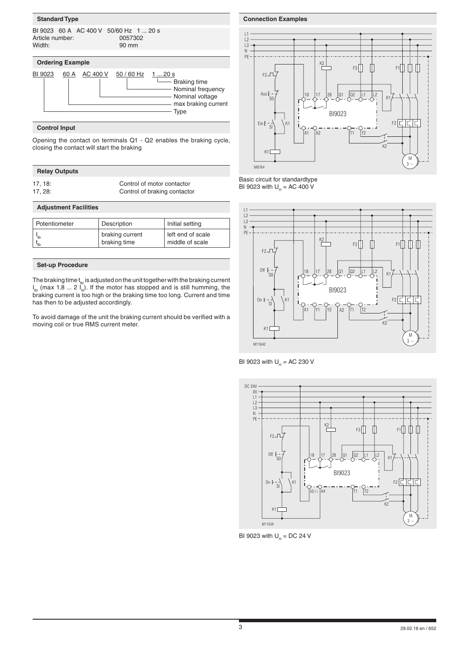# **Standard Type**

| Article number:<br>Width: |      | BI 9023 60 A AC 400 V 50/60 Hz 1  20 s | 0057302<br>90 mm            |                                                         |
|---------------------------|------|----------------------------------------|-----------------------------|---------------------------------------------------------|
| <b>Ordering Example</b>   |      |                                        |                             |                                                         |
| BI 9023                   | 60 A |                                        | AC 400 V 50 / 60 Hz 1  20 s | -Braking time<br>- Nominal frequency<br>Nominal voltage |

**Type** Type

# **Control Input**

Opening the contact on terminals Q1 - Q2 enables the braking cycle, closing the contact will start the braking

# **Relay Outputs**

17, 18: Control of motor contactor<br>17, 28: Control of braking contactor Control of braking contactor

max braking current

## **Adjustment Facilities**

| Potentiometer | Description     | Initial setting   |
|---------------|-----------------|-------------------|
| "Br           | braking current | left end of scale |
| •Br           | braking time    | middle of scale   |

### **Set-up Procedure**

The braking time  $t_{Br}$  is adjusted on the unit together with the braking current  $I_{\text{Br}}$  (max 1.8 ... 2  $I_{\text{N}}$ ). If the motor has stopped and is still humming, the braking current is too high or the braking time too long. Current and time has then to be adjusted accordingly.

To avoid damage of the unit the braking current should be verified with a moving coil or true RMS current meter.

### **Connection Examples**



### Basic circuit for standardtype BI 9023 with  $U_{H} = AC 400 V$







BI 9023 with  $U_H = DC$  24 V